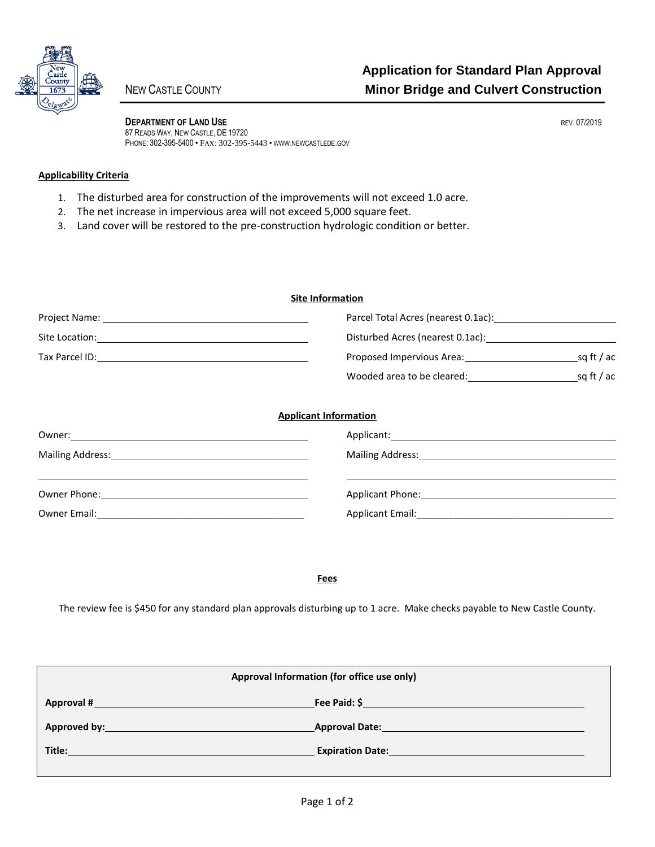

**DEPARTMENT OF LAND USE REV. 07/2019** 87 READS WAY, NEW CASTLE, DE 19720 PHONE: 302-395-5400 • FAX: 302-395-5443 • WWW.NEWCASTLEDE.GOV

## **Applicability Criteria**

- 1. The disturbed area for construction of the improvements will not exceed 1.0 acre.
- 2. The net increase in impervious area will not exceed 5,000 square feet.
- 3. Land cover will be restored to the pre-construction hydrologic condition or better.

| <b>Site Information</b>                                                                                        |                                                                               |  |  |
|----------------------------------------------------------------------------------------------------------------|-------------------------------------------------------------------------------|--|--|
|                                                                                                                |                                                                               |  |  |
|                                                                                                                |                                                                               |  |  |
|                                                                                                                |                                                                               |  |  |
|                                                                                                                |                                                                               |  |  |
|                                                                                                                | <b>Applicant Information</b>                                                  |  |  |
| Mailing Address: 1988 and 2008 and 2010 and 2010 and 2010 and 2010 and 2010 and 2010 and 2010 and 2010 and 201 | Mailing Address: Mailing Address: Mailing Address: Mailing Address: Mail 1999 |  |  |
|                                                                                                                |                                                                               |  |  |
|                                                                                                                |                                                                               |  |  |

**Fees**

The review fee is \$450 for any standard plan approvals disturbing up to 1 acre. Make checks payable to New Castle County.

| Approval Information (for office use only) |                                      |  |  |
|--------------------------------------------|--------------------------------------|--|--|
| Approval #                                 | Fee Paid: \$                         |  |  |
| Approved by: Approved by:                  | <b>Approval Date:</b> Approval Date: |  |  |
| Title:                                     | <b>Expiration Date:</b>              |  |  |
|                                            |                                      |  |  |